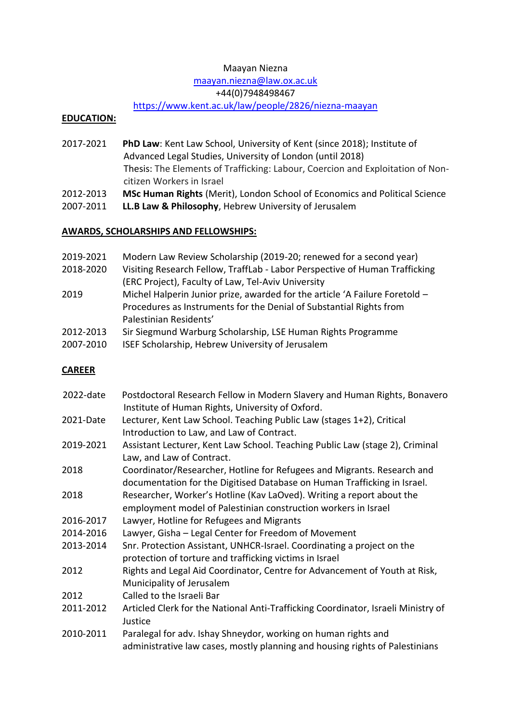### Maayan Niezna

## [maayan.niezna@law.ox.ac.uk](mailto:maayan.niezna@law.ox.ac.uk)

## +44(0)7948498467

# <https://www.kent.ac.uk/law/people/2826/niezna-maayan>

### **EDUCATION:**

- 2017-2021 **PhD Law**: Kent Law School, University of Kent (since 2018); Institute of Advanced Legal Studies, University of London (until 2018) Thesis: The Elements of Trafficking: Labour, Coercion and Exploitation of Noncitizen Workers in Israel
- 2012-2013 **MSc Human Rights** (Merit), London School of Economics and Political Science
- 2007-2011 **LL.B Law & Philosophy**, Hebrew University of Jerusalem

## **AWARDS, SCHOLARSHIPS AND FELLOWSHIPS:**

- 2019-2021 Modern Law Review Scholarship (2019-20; renewed for a second year)
- 2018-2020 Visiting Research Fellow, TraffLab Labor Perspective of Human Trafficking (ERC Project), Faculty of Law, Tel-Aviv University
- 2019 Michel Halperin Junior prize, awarded for the article 'A Failure Foretold Procedures as Instruments for the Denial of Substantial Rights from Palestinian Residents'
- 2012-2013 Sir Siegmund Warburg Scholarship, LSE Human Rights Programme
- 2007-2010 ISEF Scholarship, Hebrew University of Jerusalem

## **CAREER**

| 2022-date | Postdoctoral Research Fellow in Modern Slavery and Human Rights, Bonavero<br>Institute of Human Rights, University of Oxford.                       |
|-----------|-----------------------------------------------------------------------------------------------------------------------------------------------------|
| 2021-Date | Lecturer, Kent Law School. Teaching Public Law (stages 1+2), Critical<br>Introduction to Law, and Law of Contract.                                  |
| 2019-2021 | Assistant Lecturer, Kent Law School. Teaching Public Law (stage 2), Criminal<br>Law, and Law of Contract.                                           |
| 2018      | Coordinator/Researcher, Hotline for Refugees and Migrants. Research and<br>documentation for the Digitised Database on Human Trafficking in Israel. |
| 2018      | Researcher, Worker's Hotline (Kav LaOved). Writing a report about the<br>employment model of Palestinian construction workers in Israel             |
| 2016-2017 | Lawyer, Hotline for Refugees and Migrants                                                                                                           |
| 2014-2016 | Lawyer, Gisha - Legal Center for Freedom of Movement                                                                                                |
| 2013-2014 | Snr. Protection Assistant, UNHCR-Israel. Coordinating a project on the<br>protection of torture and trafficking victims in Israel                   |
| 2012      | Rights and Legal Aid Coordinator, Centre for Advancement of Youth at Risk,<br>Municipality of Jerusalem                                             |
| 2012      | Called to the Israeli Bar                                                                                                                           |
| 2011-2012 | Articled Clerk for the National Anti-Trafficking Coordinator, Israeli Ministry of<br>Justice                                                        |
| 2010-2011 | Paralegal for adv. Ishay Shneydor, working on human rights and<br>administrative law cases, mostly planning and housing rights of Palestinians      |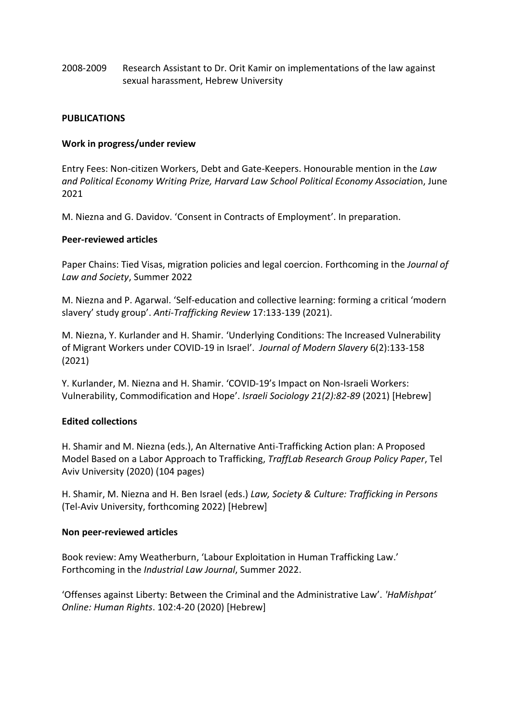2008-2009 Research Assistant to Dr. Orit Kamir on implementations of the law against sexual harassment, Hebrew University

#### **PUBLICATIONS**

#### **Work in progress/under review**

Entry Fees: Non-citizen Workers, Debt and Gate-Keepers. Honourable mention in the *Law and Political Economy Writing Prize, Harvard Law School Political Economy Associatio*n, June 2021

M. Niezna and G. Davidov. 'Consent in Contracts of Employment'. In preparation.

#### **Peer-reviewed articles**

Paper Chains: Tied Visas, migration policies and legal coercion. Forthcoming in the *Journal of Law and Society*, Summer 2022

M. Niezna and P. Agarwal. 'Self-education and collective learning: forming a critical 'modern slavery' study group'. *Anti-Trafficking Review* 17:133-139 (2021).

M. Niezna, Y. Kurlander and H. Shamir. 'Underlying Conditions: The Increased Vulnerability of Migrant Workers under COVID-19 in Israel'. *Journal of Modern Slavery* 6(2):133-158 (2021)

Y. Kurlander, M. Niezna and H. Shamir. 'COVID-19's Impact on Non-Israeli Workers: Vulnerability, Commodification and Hope'. *Israeli Sociology 21(2):82-89* (2021) [Hebrew]

### **Edited collections**

H. Shamir and M. Niezna (eds.), An Alternative Anti-Trafficking Action plan: A Proposed Model Based on a Labor Approach to Trafficking, *TraffLab Research Group Policy Paper*, Tel Aviv University (2020) (104 pages)

H. Shamir, M. Niezna and H. Ben Israel (eds.) *Law, Society & Culture: Trafficking in Persons*  (Tel-Aviv University, forthcoming 2022) [Hebrew]

#### **Non peer-reviewed articles**

Book review: Amy Weatherburn, 'Labour Exploitation in Human Trafficking Law.' Forthcoming in the *Industrial Law Journal*, Summer 2022.

'Offenses against Liberty: Between the Criminal and the Administrative Law'. *'HaMishpat' Online: Human Rights*. 102:4-20 (2020) [Hebrew]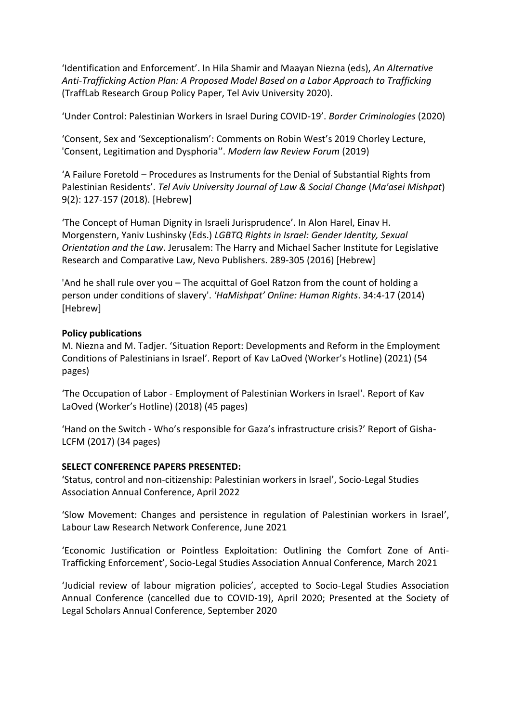'Identification and Enforcement'. In Hila Shamir and Maayan Niezna (eds), *An Alternative Anti-Trafficking Action Plan: A Proposed Model Based on a Labor Approach to Trafficking* (TraffLab Research Group Policy Paper, Tel Aviv University 2020).

'Under Control: Palestinian Workers in Israel During COVID-19'. *Border Criminologies* (2020)

'Consent, Sex and 'Sexceptionalism': Comments on Robin West's 2019 Chorley Lecture, 'Consent, Legitimation and Dysphoria''. *Modern law Review Forum* (2019)

'A Failure Foretold – Procedures as Instruments for the Denial of Substantial Rights from Palestinian Residents'. *Tel Aviv University Journal of Law & Social Change* (*Ma'asei Mishpat*) 9(2): 127-157 (2018). [Hebrew]

'The Concept of Human Dignity in Israeli Jurisprudence'. In Alon Harel, Einav H. Morgenstern, Yaniv Lushinsky (Eds.) *LGBTQ Rights in Israel: Gender Identity, Sexual Orientation and the Law*. Jerusalem: The Harry and Michael Sacher Institute for Legislative Research and Comparative Law, Nevo Publishers. 289-305 (2016) [Hebrew]

'And he shall rule over you – The acquittal of Goel Ratzon from the count of holding a person under conditions of slavery'. *'HaMishpat' Online: Human Rights*. 34:4-17 (2014) [Hebrew]

### **Policy publications**

M. Niezna and M. Tadjer. 'Situation Report: Developments and Reform in the Employment Conditions of Palestinians in Israel'. Report of Kav LaOved (Worker's Hotline) (2021) (54 pages)

'The Occupation of Labor - Employment of Palestinian Workers in Israel'. Report of Kav LaOved (Worker's Hotline) (2018) (45 pages)

'Hand on the Switch - Who's responsible for Gaza's infrastructure crisis?' Report of Gisha-LCFM (2017) (34 pages)

### **SELECT CONFERENCE PAPERS PRESENTED:**

'Status, control and non-citizenship: Palestinian workers in Israel', Socio-Legal Studies Association Annual Conference, April 2022

'Slow Movement: Changes and persistence in regulation of Palestinian workers in Israel', Labour Law Research Network Conference, June 2021

'Economic Justification or Pointless Exploitation: Outlining the Comfort Zone of Anti-Trafficking Enforcement', Socio-Legal Studies Association Annual Conference, March 2021

'Judicial review of labour migration policies', accepted to Socio-Legal Studies Association Annual Conference (cancelled due to COVID-19), April 2020; Presented at the Society of Legal Scholars Annual Conference, September 2020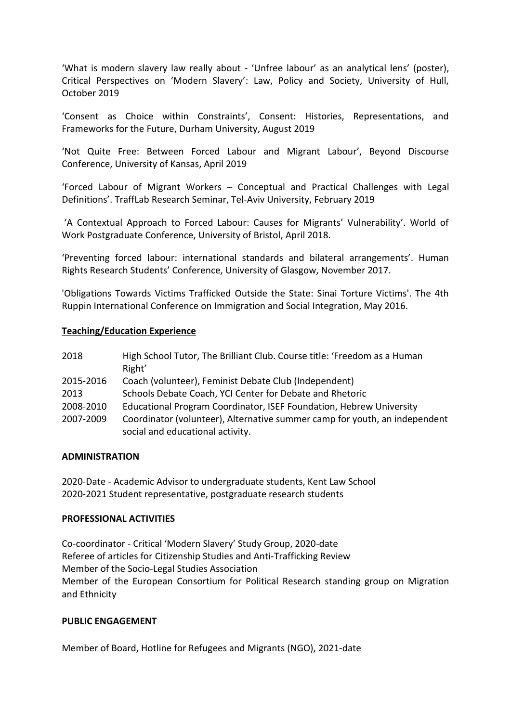'What is modern slavery law really about - 'Unfree labour' as an analytical lens' (poster), Critical Perspectives on 'Modern Slavery': Law, Policy and Society, University of Hull, October 2019

'Consent as Choice within Constraints', Consent: Histories, Representations, and Frameworks for the Future, Durham University, August 2019

'Not Quite Free: Between Forced Labour and Migrant Labour', Beyond Discourse Conference, University of Kansas, April 2019

'Forced Labour of Migrant Workers – Conceptual and Practical Challenges with Legal Definitions'. TraffLab Research Seminar, Tel-Aviv University, February 2019

'A Contextual Approach to Forced Labour: Causes for Migrants' Vulnerability'. World of Work Postgraduate Conference, University of Bristol, April 2018.

'Preventing forced labour: international standards and bilateral arrangements'. Human Rights Research Students' Conference, University of Glasgow, November 2017.

'Obligations Towards Victims Trafficked Outside the State: Sinai Torture Victims'. The 4th Ruppin International Conference on Immigration and Social Integration, May 2016.

#### **Teaching/Education Experience**

| 2018      | High School Tutor, The Brilliant Club. Course title: 'Freedom as a Human<br>Right' |
|-----------|------------------------------------------------------------------------------------|
| 2015-2016 | Coach (volunteer), Feminist Debate Club (Independent)                              |
| 2013      | Schools Debate Coach, YCI Center for Debate and Rhetoric                           |
| 2008-2010 | Educational Program Coordinator, ISEF Foundation, Hebrew University                |
| 2007-2009 | Coordinator (volunteer), Alternative summer camp for youth, an independent         |
|           | social and educational activity.                                                   |

#### **ADMINISTRATION**

2020-Date - Academic Advisor to undergraduate students, Kent Law School 2020-2021 Student representative, postgraduate research students

### **PROFESSIONAL ACTIVITIES**

Co-coordinator - Critical 'Modern Slavery' Study Group, 2020-date Referee of articles for Citizenship Studies and Anti-Trafficking Review Member of the Socio-Legal Studies Association Member of the European Consortium for Political Research standing group on Migration and Ethnicity

#### **PUBLIC ENGAGEMENT**

Member of Board, Hotline for Refugees and Migrants (NGO), 2021-date